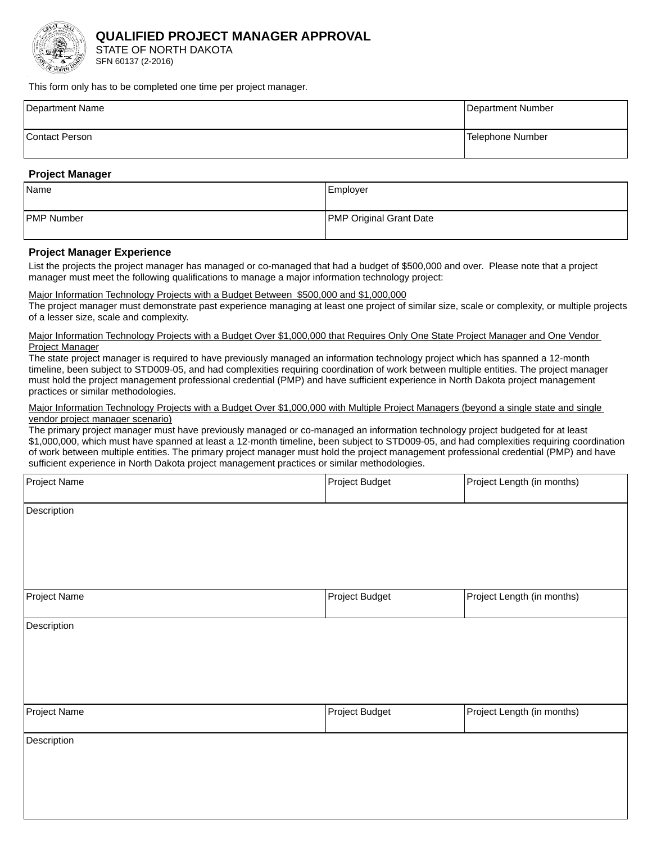

## **QUALIFIED PROJECT MANAGER APPROVAL**

STATE OF NORTH DAKOTA SFN 60137 (2-2016)

This form only has to be completed one time per project manager.

| Department Name       | Department Number |
|-----------------------|-------------------|
| <b>Contact Person</b> | Telephone Number  |

## **Project Manager**

| Name              | Employer                       |
|-------------------|--------------------------------|
| <b>PMP Number</b> | <b>PMP Original Grant Date</b> |

## **Project Manager Experience**

List the projects the project manager has managed or co-managed that had a budget of \$500,000 and over. Please note that a project manager must meet the following qualifications to manage a major information technology project:

#### Major Information Technology Projects with a Budget Between \$500,000 and \$1,000,000

The project manager must demonstrate past experience managing at least one project of similar size, scale or complexity, or multiple projects of a lesser size, scale and complexity.

#### Major Information Technology Projects with a Budget Over \$1,000,000 that Requires Only One State Project Manager and One Vendor **Project Manager**

The state project manager is required to have previously managed an information technology project which has spanned a 12-month timeline, been subject to STD009-05, and had complexities requiring coordination of work between multiple entities. The project manager must hold the project management professional credential (PMP) and have sufficient experience in North Dakota project management practices or similar methodologies.

#### Major Information Technology Projects with a Budget Over \$1,000,000 with Multiple Project Managers (beyond a single state and single vendor project manager scenario)

The primary project manager must have previously managed or co-managed an information technology project budgeted for at least \$1,000,000, which must have spanned at least a 12-month timeline, been subject to STD009-05, and had complexities requiring coordination of work between multiple entities. The primary project manager must hold the project management professional credential (PMP) and have sufficient experience in North Dakota project management practices or similar methodologies.

| Project Name | Project Budget | Project Length (in months) |
|--------------|----------------|----------------------------|
| Description  |                |                            |
|              |                |                            |
| Project Name | Project Budget | Project Length (in months) |
| Description  |                |                            |
|              |                |                            |
|              |                |                            |
| Project Name | Project Budget | Project Length (in months) |
| Description  |                |                            |
|              |                |                            |
|              |                |                            |
|              |                |                            |